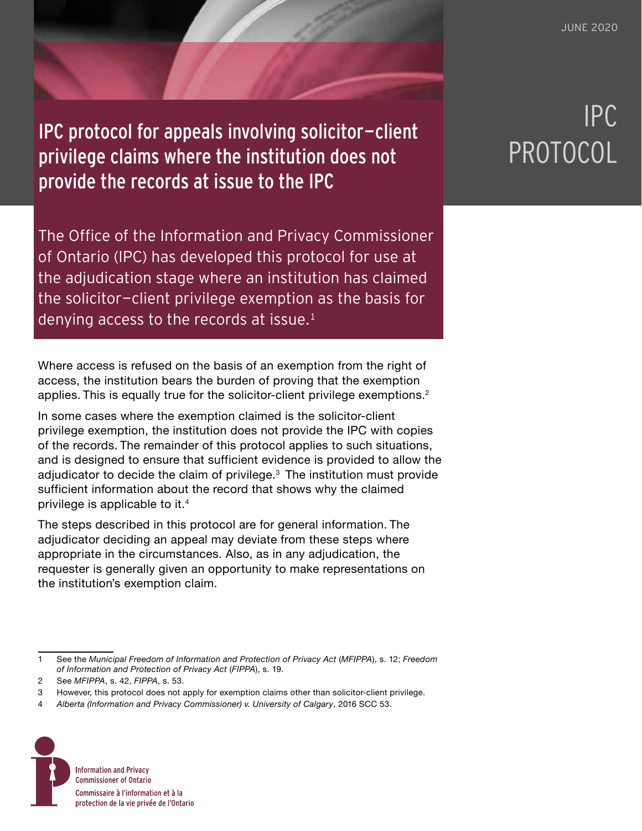IPC protocol for appeals involving solicitor-client<br>privilege claims where the institution does not PROTOCOL privilege claims where the institution does not provide the records at issue to the IPC

The Office of the Information and Privacy Commissioner of Ontario (IPC) has developed this protocol for use at the adjudication stage where an institution has claimed the solicitor-client privilege exemption as the basis for denying access to the records at issue. $<sup>1</sup>$ </sup>

Where access is refused on the basis of an exemption from the right of access, the institution bears the burden of proving that the exemption applies. This is equally true for the solicitor-client privilege exemptions.<sup>2</sup>

In some cases where the exemption claimed is the solicitor-client privilege exemption, the institution does not provide the IPC with copies of the records. The remainder of this protocol applies to such situations, and is designed to ensure that sufficient evidence is provided to allow the adjudicator to decide the claim of privilege.<sup>3</sup> The institution must provide sufficient information about the record that shows why the claimed privilege is applicable to it.4

The steps described in this protocol are for general information. The adjudicator deciding an appeal may deviate from these steps where appropriate in the circumstances. Also, as in any adjudication, the requester is generally given an opportunity to make representations on the institution's exemption claim.

<sup>4</sup> *Alberta (Information and Privacy Commissioner) v. University of Calgary*, 2016 SCC 53.



## IPC

<sup>1</sup> See the *Municipal Freedom of Information and Protection of Privacy Act* (*MFIPPA*), s. 12; *Freedom of Information and Protection of Privacy Act* (*FIPPA*), s. 19.

<sup>2</sup> See *MFIPPA*, s. 42, *FIPPA*, s. 53.

<sup>3</sup> However, this protocol does not apply for exemption claims other than solicitor-client privilege.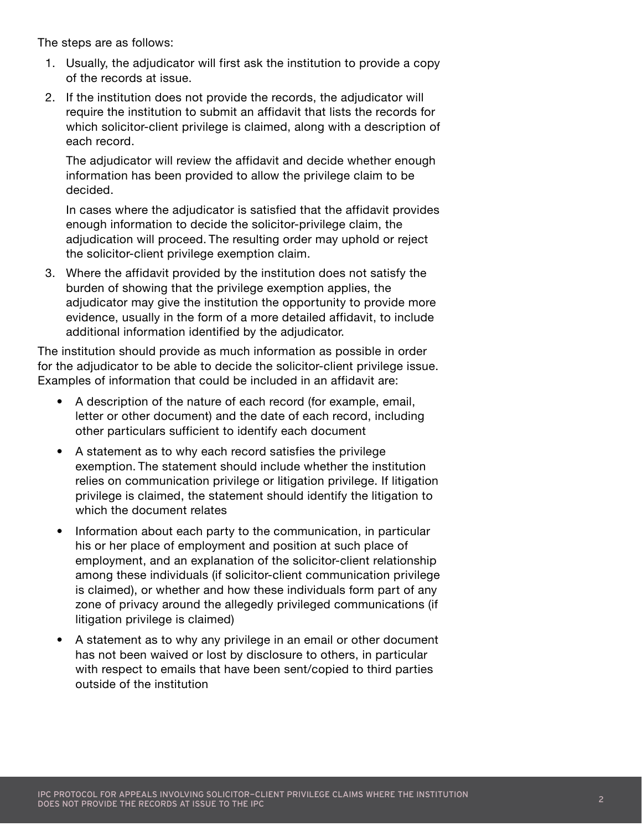The steps are as follows:

- 1. Usually, the adjudicator will first ask the institution to provide a copy of the records at issue.
- 2. If the institution does not provide the records, the adjudicator will require the institution to submit an affidavit that lists the records for which solicitor-client privilege is claimed, along with a description of each record.

The adjudicator will review the affidavit and decide whether enough information has been provided to allow the privilege claim to be decided.

In cases where the adjudicator is satisfied that the affidavit provides enough information to decide the solicitor-privilege claim, the adjudication will proceed. The resulting order may uphold or reject the solicitor-client privilege exemption claim.

3. Where the affidavit provided by the institution does not satisfy the burden of showing that the privilege exemption applies, the adjudicator may give the institution the opportunity to provide more evidence, usually in the form of a more detailed affidavit, to include additional information identified by the adjudicator.

The institution should provide as much information as possible in order for the adjudicator to be able to decide the solicitor-client privilege issue. Examples of information that could be included in an affidavit are:

- A description of the nature of each record (for example, email, letter or other document) and the date of each record, including other particulars sufficient to identify each document
- A statement as to why each record satisfies the privilege exemption. The statement should include whether the institution relies on communication privilege or litigation privilege. If litigation privilege is claimed, the statement should identify the litigation to which the document relates
- Information about each party to the communication, in particular his or her place of employment and position at such place of employment, and an explanation of the solicitor-client relationship among these individuals (if solicitor-client communication privilege is claimed), or whether and how these individuals form part of any zone of privacy around the allegedly privileged communications (if litigation privilege is claimed)
- A statement as to why any privilege in an email or other document has not been waived or lost by disclosure to others, in particular with respect to emails that have been sent/copied to third parties outside of the institution